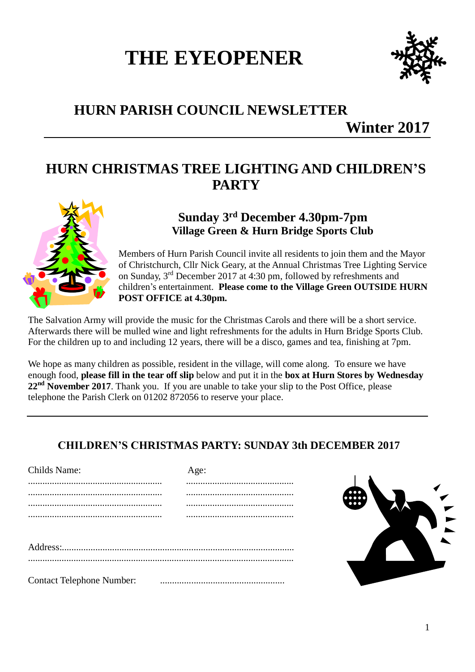# **THE EYEOPENER**



# **HURN PARISH COUNCIL NEWSLETTER**

**Winter 2017**

## **HURN CHRISTMAS TREE LIGHTING AND CHILDREN'S PARTY**



### **Sunday 3 rd December 4.30pm-7pm Village Green & Hurn Bridge Sports Club**

Members of Hurn Parish Council invite all residents to join them and the Mayor of Christchurch, Cllr Nick Geary, at the Annual Christmas Tree Lighting Service on Sunday, 3<sup>rd</sup> December 2017 at 4:30 pm, followed by refreshments and children's entertainment. **Please come to the Village Green OUTSIDE HURN POST OFFICE at 4.30pm.**

The Salvation Army will provide the music for the Christmas Carols and there will be a short service. Afterwards there will be mulled wine and light refreshments for the adults in Hurn Bridge Sports Club. For the children up to and including 12 years, there will be a disco, games and tea, finishing at 7pm.

We hope as many children as possible, resident in the village, will come along. To ensure we have enough food, **please fill in the tear off slip** below and put it in the **box at Hurn Stores by Wednesday**  22<sup>nd</sup> November 2017. Thank you. If you are unable to take your slip to the Post Office, please telephone the Parish Clerk on 01202 872056 to reserve your place.

## **CHILDREN'S CHRISTMAS PARTY: SUNDAY 3th DECEMBER 2017**

| Childs Name:                     | Age: |
|----------------------------------|------|
|                                  |      |
|                                  |      |
|                                  |      |
|                                  |      |
|                                  |      |
|                                  |      |
|                                  |      |
|                                  |      |
| <b>Contact Telephone Number:</b> |      |